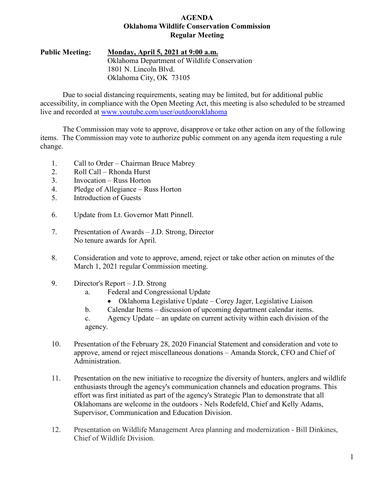### **AGENDA Oklahoma Wildlife Conservation Commission Regular Meeting**

## **Public Meeting: Monday, April 5, 2021 at 9:00 a.m.** Oklahoma Department of Wildlife Conservation 1801 N. Lincoln Blvd. Oklahoma City, OK 73105

Due to social distancing requirements, seating may be limited, but for additional public accessibility, in compliance with the Open Meeting Act, this meeting is also scheduled to be streamed live and recorded at [www.youtube.com/user/outdooroklahoma](http://www.youtube.com/user/outdooroklahoma)

The Commission may vote to approve, disapprove or take other action on any of the following items. The Commission may vote to authorize public comment on any agenda item requesting a rule change.

- 1. Call to Order Chairman Bruce Mabrey
- 2. Roll Call Rhonda Hurst
- 3. Invocation Russ Horton
- 4. Pledge of Allegiance Russ Horton
- 5. Introduction of Guests
- 6. Update from Lt. Governor Matt Pinnell.
- 7. Presentation of Awards J.D. Strong, Director No tenure awards for April.
- 8. Consideration and vote to approve, amend, reject or take other action on minutes of the March 1, 2021 regular Commission meeting.
- 9. Director's Report J.D. Strong
	- a. Federal and Congressional Update
		- Oklahoma Legislative Update Corey Jager, Legislative Liaison
	- b. Calendar Items discussion of upcoming department calendar items.

c. Agency Update – an update on current activity within each division of the agency.

- 10. Presentation of the February 28, 2020 Financial Statement and consideration and vote to approve, amend or reject miscellaneous donations – Amanda Storck, CFO and Chief of Administration.
- 11. Presentation on the new initiative to recognize the diversity of hunters, anglers and wildlife enthusiasts through the agency's communication channels and education programs. This effort was first initiated as part of the agency's Strategic Plan to demonstrate that all Oklahomans are welcome in the outdoors - Nels Rodefeld, Chief and Kelly Adams, Supervisor, Communication and Education Division.
- 12. Presentation on Wildlife Management Area planning and modernization Bill Dinkines, Chief of Wildlife Division.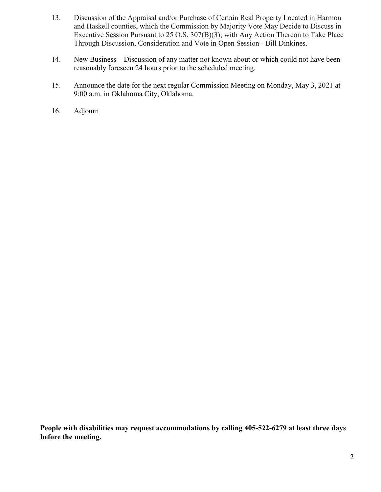- 13. Discussion of the Appraisal and/or Purchase of Certain Real Property Located in Harmon and Haskell counties, which the Commission by Majority Vote May Decide to Discuss in Executive Session Pursuant to 25 O.S. 307(B)(3); with Any Action Thereon to Take Place Through Discussion, Consideration and Vote in Open Session - Bill Dinkines.
- 14. New Business Discussion of any matter not known about or which could not have been reasonably foreseen 24 hours prior to the scheduled meeting.
- 15. Announce the date for the next regular Commission Meeting on Monday, May 3, 2021 at 9:00 a.m. in Oklahoma City, Oklahoma.
- 16. Adjourn

**People with disabilities may request accommodations by calling 405-522-6279 at least three days before the meeting.**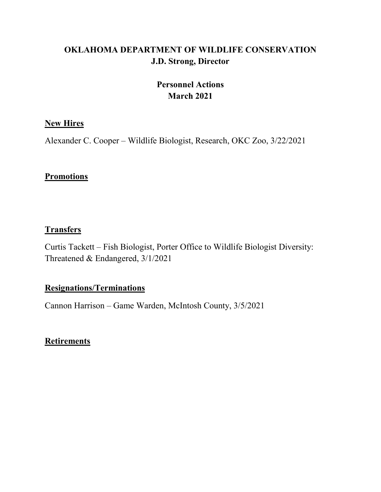# **OKLAHOMA DEPARTMENT OF WILDLIFE CONSERVATION J.D. Strong, Director**

# **Personnel Actions March 2021**

# **New Hires**

Alexander C. Cooper – Wildlife Biologist, Research, OKC Zoo, 3/22/2021

# **Promotions**

# **Transfers**

Curtis Tackett – Fish Biologist, Porter Office to Wildlife Biologist Diversity: Threatened & Endangered, 3/1/2021

# **Resignations/Terminations**

Cannon Harrison – Game Warden, McIntosh County, 3/5/2021

# **Retirements**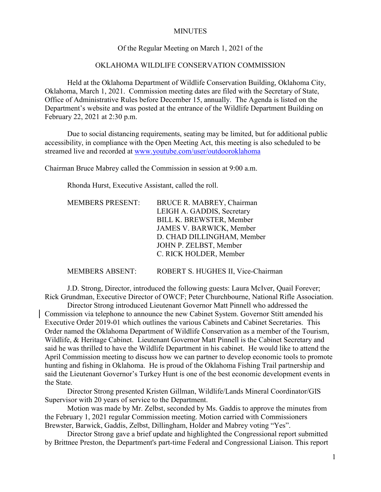#### **MINUTES**

#### Of the Regular Meeting on March 1, 2021 of the

### OKLAHOMA WILDLIFE CONSERVATION COMMISSION

Held at the Oklahoma Department of Wildlife Conservation Building, Oklahoma City, Oklahoma, March 1, 2021. Commission meeting dates are filed with the Secretary of State, Office of Administrative Rules before December 15, annually. The Agenda is listed on the Department's website and was posted at the entrance of the Wildlife Department Building on February 22, 2021 at 2:30 p.m.

Due to social distancing requirements, seating may be limited, but for additional public accessibility, in compliance with the Open Meeting Act, this meeting is also scheduled to be streamed live and recorded at [www.youtube.com/user/outdooroklahoma](http://www.youtube.com/user/outdooroklahoma)

Chairman Bruce Mabrey called the Commission in session at 9:00 a.m.

Rhonda Hurst, Executive Assistant, called the roll.

| <b>MEMBERS PRESENT:</b> | BRUCE R. MABREY, Chairman       |
|-------------------------|---------------------------------|
|                         | LEIGH A. GADDIS, Secretary      |
|                         | <b>BILL K. BREWSTER, Member</b> |
|                         | JAMES V. BARWICK, Member        |
|                         | D. CHAD DILLINGHAM, Member      |
|                         | JOHN P. ZELBST, Member          |
|                         | C. RICK HOLDER, Member          |
|                         |                                 |

MEMBERS ABSENT: ROBERT S. HUGHES II, Vice-Chairman

J.D. Strong, Director, introduced the following guests: Laura McIver, Quail Forever; Rick Grundman, Executive Director of OWCF; Peter Churchbourne, National Rifle Association.

Director Strong introduced Lieutenant Governor Matt Pinnell who addressed the Commission via telephone to announce the new Cabinet System. Governor Stitt amended his Executive Order 2019-01 which outlines the various Cabinets and Cabinet Secretaries. This Order named the Oklahoma Department of Wildlife Conservation as a member of the Tourism, Wildlife, & Heritage Cabinet. Lieutenant Governor Matt Pinnell is the Cabinet Secretary and said he was thrilled to have the Wildlife Department in his cabinet. He would like to attend the April Commission meeting to discuss how we can partner to develop economic tools to promote hunting and fishing in Oklahoma. He is proud of the Oklahoma Fishing Trail partnership and said the Lieutenant Governor's Turkey Hunt is one of the best economic development events in the State.

Director Strong presented Kristen Gillman, Wildlife/Lands Mineral Coordinator/GIS Supervisor with 20 years of service to the Department.

Motion was made by Mr. Zelbst, seconded by Ms. Gaddis to approve the minutes from the February 1, 2021 regular Commission meeting. Motion carried with Commissioners Brewster, Barwick, Gaddis, Zelbst, Dillingham, Holder and Mabrey voting "Yes".

Director Strong gave a brief update and highlighted the Congressional report submitted by Brittnee Preston, the Department's part-time Federal and Congressional Liaison. This report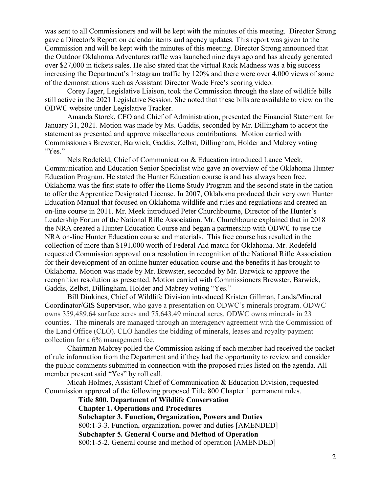was sent to all Commissioners and will be kept with the minutes of this meeting. Director Strong gave a Director's Report on calendar items and agency updates. This report was given to the Commission and will be kept with the minutes of this meeting. Director Strong announced that the Outdoor Oklahoma Adventures raffle was launched nine days ago and has already generated over \$27,000 in tickets sales. He also stated that the virtual Rack Madness was a big success increasing the Department's Instagram traffic by 120% and there were over 4,000 views of some of the demonstrations such as Assistant Director Wade Free's scoring video.

Corey Jager, Legislative Liaison, took the Commission through the slate of wildlife bills still active in the 2021 Legislative Session. She noted that these bills are available to view on the ODWC website under Legislative Tracker.

Amanda Storck, CFO and Chief of Administration, presented the Financial Statement for January 31, 2021. Motion was made by Ms. Gaddis, seconded by Mr. Dillingham to accept the statement as presented and approve miscellaneous contributions. Motion carried with Commissioners Brewster, Barwick, Gaddis, Zelbst, Dillingham, Holder and Mabrey voting "Yes."

Nels Rodefeld, Chief of Communication & Education introduced Lance Meek, Communication and Education Senior Specialist who gave an overview of the Oklahoma Hunter Education Program. He stated the Hunter Education course is and has always been free. Oklahoma was the first state to offer the Home Study Program and the second state in the nation to offer the Apprentice Designated License. In 2007, Oklahoma produced their very own Hunter Education Manual that focused on Oklahoma wildlife and rules and regulations and created an on-line course in 2011. Mr. Meek introduced Peter Churchbourne, Director of the Hunter's Leadership Forum of the National Rifle Association. Mr. Churchboune explained that in 2018 the NRA created a Hunter Education Course and began a partnership with ODWC to use the NRA on-line Hunter Education course and materials. This free course has resulted in the collection of more than \$191,000 worth of Federal Aid match for Oklahoma. Mr. Rodefeld requested Commission approval on a resolution in recognition of the National Rifle Association for their development of an online hunter education course and the benefits it has brought to Oklahoma. Motion was made by Mr. Brewster, seconded by Mr. Barwick to approve the recognition resolution as presented. Motion carried with Commissioners Brewster, Barwick, Gaddis, Zelbst, Dillingham, Holder and Mabrey voting "Yes."

Bill Dinkines, Chief of Wildlife Division introduced Kristen Gillman, Lands/Mineral Coordinator/GIS Supervisor, who gave a presentation on ODWC's minerals program. ODWC owns 359,489.64 surface acres and 75,643.49 mineral acres. ODWC owns minerals in 23 counties. The minerals are managed through an interagency agreement with the Commission of the Land Office (CLO). CLO handles the bidding of minerals, leases and royalty payment collection for a 6% management fee.

Chairman Mabrey polled the Commission asking if each member had received the packet of rule information from the Department and if they had the opportunity to review and consider the public comments submitted in connection with the proposed rules listed on the agenda. All member present said "Yes" by roll call.

Micah Holmes, Assistant Chief of Communication & Education Division, requested Commission approval of the following proposed Title 800 Chapter 1 permanent rules.

> **Title 800. Department of Wildlife Conservation Chapter 1. Operations and Procedures Subchapter 3. Function, Organization, Powers and Duties** 800:1-3-3. Function, organization, power and duties [AMENDED] **Subchapter 5. General Course and Method of Operation** 800:1-5-2. General course and method of operation [AMENDED]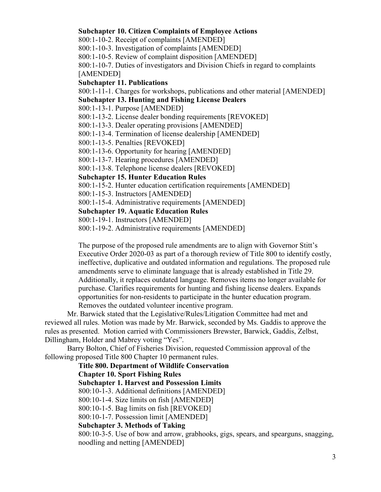#### **Subchapter 10. Citizen Complaints of Employee Actions**

800:1-10-2. Receipt of complaints [AMENDED]

800:1-10-3. Investigation of complaints [AMENDED]

800:1-10-5. Review of complaint disposition [AMENDED]

800:1-10-7. Duties of investigators and Division Chiefs in regard to complaints [AMENDED]

## **Subchapter 11. Publications**

800:1-11-1. Charges for workshops, publications and other material [AMENDED]

## **Subchapter 13. Hunting and Fishing License Dealers**

800:1-13-1. Purpose [AMENDED]

800:1-13-2. License dealer bonding requirements [REVOKED]

800:1-13-3. Dealer operating provisions [AMENDED]

800:1-13-4. Termination of license dealership [AMENDED]

800:1-13-5. Penalties [REVOKED]

800:1-13-6. Opportunity for hearing [AMENDED]

800:1-13-7. Hearing procedures [AMENDED]

800:1-13-8. Telephone license dealers [REVOKED]

# **Subchapter 15. Hunter Education Rules**

800:1-15-2. Hunter education certification requirements [AMENDED]

800:1-15-3. Instructors [AMENDED]

800:1-15-4. Administrative requirements [AMENDED]

## **Subchapter 19. Aquatic Education Rules**

800:1-19-1. Instructors [AMENDED]

800:1-19-2. Administrative requirements [AMENDED]

The purpose of the proposed rule amendments are to align with Governor Stitt's Executive Order 2020-03 as part of a thorough review of Title 800 to identify costly, ineffective, duplicative and outdated information and regulations. The proposed rule amendments serve to eliminate language that is already established in Title 29. Additionally, it replaces outdated language. Removes items no longer available for purchase. Clarifies requirements for hunting and fishing license dealers. Expands opportunities for non-residents to participate in the hunter education program. Removes the outdated volunteer incentive program.

Mr. Barwick stated that the Legislative/Rules/Litigation Committee had met and reviewed all rules. Motion was made by Mr. Barwick, seconded by Ms. Gaddis to approve the rules as presented. Motion carried with Commissioners Brewster, Barwick, Gaddis, Zelbst, Dillingham, Holder and Mabrey voting "Yes".

Barry Bolton, Chief of Fisheries Division, requested Commission approval of the following proposed Title 800 Chapter 10 permanent rules.

# **Title 800. Department of Wildlife Conservation**

# **Chapter 10. Sport Fishing Rules**

**Subchapter 1. Harvest and Possession Limits**

800:10-1-3. Additional definitions [AMENDED]

800:10-1-4. Size limits on fish [AMENDED]

800:10-1-5. Bag limits on fish [REVOKED]

800:10-1-7. Possession limit [AMENDED]

# **Subchapter 3. Methods of Taking**

800:10-3-5. Use of bow and arrow, grabhooks, gigs, spears, and spearguns, snagging, noodling and netting [AMENDED]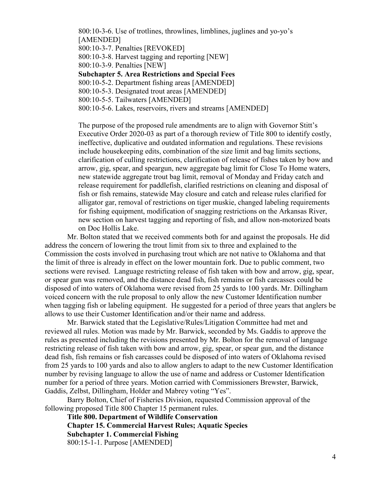800:10-3-6. Use of trotlines, throwlines, limblines, juglines and yo-yo's [AMENDED] 800:10-3-7. Penalties [REVOKED] 800:10-3-8. Harvest tagging and reporting [NEW] 800:10-3-9. Penalties [NEW] **Subchapter 5. Area Restrictions and Special Fees** 800:10-5-2. Department fishing areas [AMENDED] 800:10-5-3. Designated trout areas [AMENDED] 800:10-5-5. Tailwaters [AMENDED] 800:10-5-6. Lakes, reservoirs, rivers and streams [AMENDED]

The purpose of the proposed rule amendments are to align with Governor Stitt's Executive Order 2020-03 as part of a thorough review of Title 800 to identify costly, ineffective, duplicative and outdated information and regulations. These revisions include housekeeping edits, combination of the size limit and bag limits sections, clarification of culling restrictions, clarification of release of fishes taken by bow and arrow, gig, spear, and speargun, new aggregate bag limit for Close To Home waters, new statewide aggregate trout bag limit, removal of Monday and Friday catch and release requirement for paddlefish, clarified restrictions on cleaning and disposal of fish or fish remains, statewide May closure and catch and release rules clarified for alligator gar, removal of restrictions on tiger muskie, changed labeling requirements for fishing equipment, modification of snagging restrictions on the Arkansas River, new section on harvest tagging and reporting of fish, and allow non-motorized boats on Doc Hollis Lake.

Mr. Bolton stated that we received comments both for and against the proposals. He did address the concern of lowering the trout limit from six to three and explained to the Commission the costs involved in purchasing trout which are not native to Oklahoma and that the limit of three is already in effect on the lower mountain fork. Due to public comment, two sections were revised. Language restricting release of fish taken with bow and arrow, gig, spear, or spear gun was removed, and the distance dead fish, fish remains or fish carcasses could be disposed of into waters of Oklahoma were revised from 25 yards to 100 yards. Mr. Dillingham voiced concern with the rule proposal to only allow the new Customer Identification number when tagging fish or labeling equipment. He suggested for a period of three years that anglers be allows to use their Customer Identification and/or their name and address.

Mr. Barwick stated that the Legislative/Rules/Litigation Committee had met and reviewed all rules. Motion was made by Mr. Barwick, seconded by Ms. Gaddis to approve the rules as presented including the revisions presented by Mr. Bolton for the removal of language restricting release of fish taken with bow and arrow, gig, spear, or spear gun, and the distance dead fish, fish remains or fish carcasses could be disposed of into waters of Oklahoma revised from 25 yards to 100 yards and also to allow anglers to adapt to the new Customer Identification number by revising language to allow the use of name and address or Customer Identification number for a period of three years. Motion carried with Commissioners Brewster, Barwick, Gaddis, Zelbst, Dillingham, Holder and Mabrey voting "Yes".

Barry Bolton, Chief of Fisheries Division, requested Commission approval of the following proposed Title 800 Chapter 15 permanent rules.

**Title 800. Department of Wildlife Conservation Chapter 15. Commercial Harvest Rules; Aquatic Species Subchapter 1. Commercial Fishing** 800:15-1-1. Purpose [AMENDED]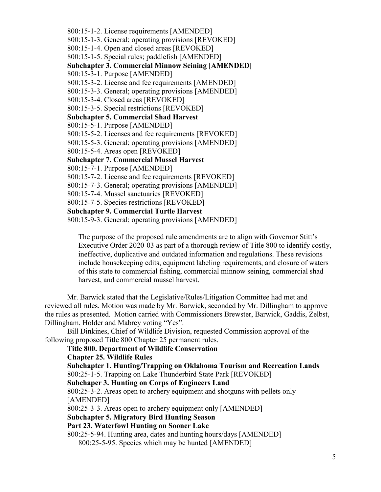800:15-1-2. License requirements [AMENDED] 800:15-1-3. General; operating provisions [REVOKED] 800:15-1-4. Open and closed areas [REVOKED] 800:15-1-5. Special rules; paddlefish [AMENDED] **Subchapter 3. Commercial Minnow Seining [AMENDED]** 800:15-3-1. Purpose [AMENDED] 800:15-3-2. License and fee requirements [AMENDED] 800:15-3-3. General; operating provisions [AMENDED] 800:15-3-4. Closed areas [REVOKED] 800:15-3-5. Special restrictions [REVOKED] **Subchapter 5. Commercial Shad Harvest** 800:15-5-1. Purpose [AMENDED] 800:15-5-2. Licenses and fee requirements [REVOKED] 800:15-5-3. General; operating provisions [AMENDED] 800:15-5-4. Areas open [REVOKED] **Subchapter 7. Commercial Mussel Harvest** 800:15-7-1. Purpose [AMENDED] 800:15-7-2. License and fee requirements [REVOKED] 800:15-7-3. General; operating provisions [AMENDED] 800:15-7-4. Mussel sanctuaries [REVOKED] 800:15-7-5. Species restrictions [REVOKED] **Subchapter 9. Commercial Turtle Harvest** 800:15-9-3. General; operating provisions [AMENDED]

The purpose of the proposed rule amendments are to align with Governor Stitt's Executive Order 2020-03 as part of a thorough review of Title 800 to identify costly, ineffective, duplicative and outdated information and regulations. These revisions include housekeeping edits, equipment labeling requirements, and closure of waters of this state to commercial fishing, commercial minnow seining, commercial shad harvest, and commercial mussel harvest.

Mr. Barwick stated that the Legislative/Rules/Litigation Committee had met and reviewed all rules. Motion was made by Mr. Barwick, seconded by Mr. Dillingham to approve the rules as presented. Motion carried with Commissioners Brewster, Barwick, Gaddis, Zelbst, Dillingham, Holder and Mabrey voting "Yes".

Bill Dinkines, Chief of Wildlife Division, requested Commission approval of the following proposed Title 800 Chapter 25 permanent rules.

## **Title 800. Department of Wildlife Conservation**

#### **Chapter 25. Wildlife Rules**

**Subchapter 1. Hunting/Trapping on Oklahoma Tourism and Recreation Lands** 800:25-1-5. Trapping on Lake Thunderbird State Park [REVOKED] **Subchaper 3. Hunting on Corps of Engineers Land** 800:25-3-2. Areas open to archery equipment and shotguns with pellets only [AMENDED] 800:25-3-3. Areas open to archery equipment only [AMENDED] **Subchapter 5. Migratory Bird Hunting Season Part 23. Waterfowl Hunting on Sooner Lake** 800:25-5-94. Hunting area, dates and hunting hours/days [AMENDED] 800:25-5-95. Species which may be hunted [AMENDED]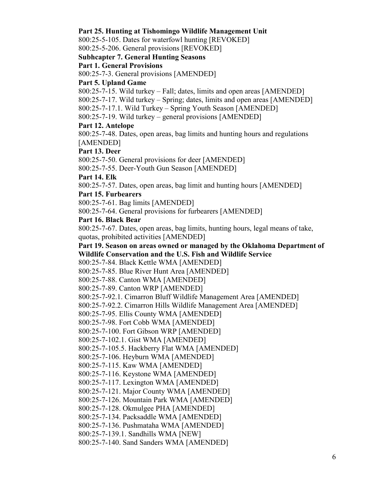### **Part 25. Hunting at Tishomingo Wildlife Management Unit**

800:25-5-105. Dates for waterfowl hunting [REVOKED]

800:25-5-206. General provisions [REVOKED]

## **Subhcapter 7. General Hunting Seasons**

**Part 1. General Provisions**

800:25-7-3. General provisions [AMENDED]

## **Part 5. Upland Game**

800:25-7-15. Wild turkey – Fall; dates, limits and open areas [AMENDED]

800:25-7-17. Wild turkey – Spring; dates, limits and open areas [AMENDED]

800:25-7-17.1. Wild Turkey – Spring Youth Season [AMENDED]

800:25-7-19. Wild turkey – general provisions [AMENDED]

# **Part 12. Antelope**

800:25-7-48. Dates, open areas, bag limits and hunting hours and regulations [AMENDED]

## **Part 13. Deer**

800:25-7-50. General provisions for deer [AMENDED]

800:25-7-55. Deer-Youth Gun Season [AMENDED]

## **Part 14. Elk**

800:25-7-57. Dates, open areas, bag limit and hunting hours [AMENDED]

## **Part 15. Furbearers**

800:25-7-61. Bag limits [AMENDED]

800:25-7-64. General provisions for furbearers [AMENDED]

# **Part 16. Black Bear**

800:25-7-67. Dates, open areas, bag limits, hunting hours, legal means of take, quotas, prohibited activities [AMENDED]

# **Part 19. Season on areas owned or managed by the Oklahoma Department of Wildlife Conservation and the U.S. Fish and Wildlife Service**

800:25-7-84. Black Kettle WMA [AMENDED]

800:25-7-85. Blue River Hunt Area [AMENDED]

800:25-7-88. Canton WMA [AMENDED]

800:25-7-89. Canton WRP [AMENDED]

800:25-7-92.1. Cimarron Bluff Wildlife Management Area [AMENDED]

800:25-7-92.2. Cimarron Hills Wildlife Management Area [AMENDED]

800:25-7-95. Ellis County WMA [AMENDED]

800:25-7-98. Fort Cobb WMA [AMENDED]

800:25-7-100. Fort Gibson WRP [AMENDED]

800:25-7-102.1. Gist WMA [AMENDED]

800:25-7-105.5. Hackberry Flat WMA [AMENDED]

800:25-7-106. Heyburn WMA [AMENDED]

800:25-7-115. Kaw WMA [AMENDED]

800:25-7-116. Keystone WMA [AMENDED]

800:25-7-117. Lexington WMA [AMENDED]

800:25-7-121. Major County WMA [AMENDED]

800:25-7-126. Mountain Park WMA [AMENDED]

800:25-7-128. Okmulgee PHA [AMENDED]

800:25-7-134. Packsaddle WMA [AMENDED]

800:25-7-136. Pushmataha WMA [AMENDED]

800:25-7-139.1. Sandhills WMA [NEW]

800:25-7-140. Sand Sanders WMA [AMENDED]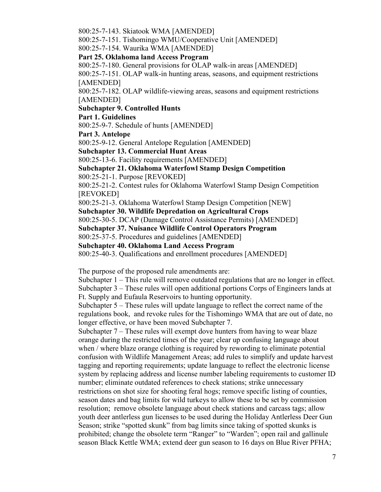800:25-7-143. Skiatook WMA [AMENDED]

800:25-7-151. Tishomingo WMU/Cooperative Unit [AMENDED]

800:25-7-154. Waurika WMA [AMENDED]

**Part 25. Oklahoma land Access Program**

800:25-7-180. General provisions for OLAP walk-in areas [AMENDED]

800:25-7-151. OLAP walk-in hunting areas, seasons, and equipment restrictions [AMENDED]

800:25-7-182. OLAP wildlife-viewing areas, seasons and equipment restrictions [AMENDED]

**Subchapter 9. Controlled Hunts**

**Part 1. Guidelines**

800:25-9-7. Schedule of hunts [AMENDED]

**Part 3. Antelope**

800:25-9-12. General Antelope Regulation [AMENDED]

**Subchapter 13. Commercial Hunt Areas**

800:25-13-6. Facility requirements [AMENDED]

# **Subchapter 21. Oklahoma Waterfowl Stamp Design Competition**

800:25-21-1. Purpose [REVOKED]

800:25-21-2. Contest rules for Oklahoma Waterfowl Stamp Design Competition [REVOKED]

800:25-21-3. Oklahoma Waterfowl Stamp Design Competition [NEW]

# **Subchapter 30. Wildlife Depredation on Agricultural Crops**

800:25-30-5. DCAP (Damage Control Assistance Permits) [AMENDED]

**Subchapter 37. Nuisance Wildlife Control Operators Program**

800:25-37-5. Procedures and guidelines [AMENDED]

**Subchapter 40. Oklahoma Land Access Program**

800:25-40-3. Qualifications and enrollment procedures [AMENDED]

The purpose of the proposed rule amendments are:

Subchapter 1 – This rule will remove outdated regulations that are no longer in effect. Subchapter 3 – These rules will open additional portions Corps of Engineers lands at Ft. Supply and Eufaula Reservoirs to hunting opportunity.

Subchapter 5 – These rules will update language to reflect the correct name of the regulations book, and revoke rules for the Tishomingo WMA that are out of date, no longer effective, or have been moved Subchapter 7.

Subchapter  $7 -$  These rules will exempt dove hunters from having to wear blaze orange during the restricted times of the year; clear up confusing language about when / where blaze orange clothing is required by rewording to eliminate potential confusion with Wildlife Management Areas; add rules to simplify and update harvest tagging and reporting requirements; update language to reflect the electronic license system by replacing address and license number labeling requirements to customer ID number; eliminate outdated references to check stations; strike unnecessary restrictions on shot size for shooting feral hogs; remove specific listing of counties, season dates and bag limits for wild turkeys to allow these to be set by commission resolution; remove obsolete language about check stations and carcass tags; allow youth deer antlerless gun licenses to be used during the Holiday Antlerless Deer Gun Season; strike "spotted skunk" from bag limits since taking of spotted skunks is prohibited; change the obsolete term "Ranger" to "Warden"; open rail and gallinule season Black Kettle WMA; extend deer gun season to 16 days on Blue River PFHA;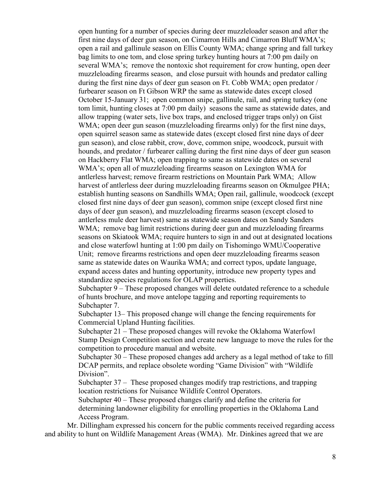open hunting for a number of species during deer muzzleloader season and after the first nine days of deer gun season, on Cimarron Hills and Cimarron Bluff WMA's; open a rail and gallinule season on Ellis County WMA; change spring and fall turkey bag limits to one tom, and close spring turkey hunting hours at 7:00 pm daily on several WMA's; remove the nontoxic shot requirement for crow hunting, open deer muzzleloading firearms season, and close pursuit with hounds and predator calling during the first nine days of deer gun season on Ft. Cobb WMA; open predator / furbearer season on Ft Gibson WRP the same as statewide dates except closed October 15-January 31; open common snipe, gallinule, rail, and spring turkey (one tom limit, hunting closes at 7:00 pm daily) seasons the same as statewide dates, and allow trapping (water sets, live box traps, and enclosed trigger traps only) on Gist WMA; open deer gun season (muzzleloading firearms only) for the first nine days, open squirrel season same as statewide dates (except closed first nine days of deer gun season), and close rabbit, crow, dove, common snipe, woodcock, pursuit with hounds, and predator / furbearer calling during the first nine days of deer gun season on Hackberry Flat WMA; open trapping to same as statewide dates on several WMA's; open all of muzzleloading firearms season on Lexington WMA for antlerless harvest; remove firearm restrictions on Mountain Park WMA; Allow harvest of antlerless deer during muzzleloading firearms season on Okmulgee PHA; establish hunting seasons on Sandhills WMA; Open rail, gallinule, woodcock (except closed first nine days of deer gun season), common snipe (except closed first nine days of deer gun season), and muzzleloading firearms season (except closed to antlerless mule deer harvest) same as statewide season dates on Sandy Sanders WMA; remove bag limit restrictions during deer gun and muzzleloading firearms seasons on Skiatook WMA; require hunters to sign in and out at designated locations and close waterfowl hunting at 1:00 pm daily on Tishomingo WMU/Cooperative Unit; remove firearms restrictions and open deer muzzleloading firearms season same as statewide dates on Waurika WMA; and correct typos, update language, expand access dates and hunting opportunity, introduce new property types and standardize species regulations for OLAP properties.

Subchapter 9 – These proposed changes will delete outdated reference to a schedule of hunts brochure, and move antelope tagging and reporting requirements to Subchapter 7.

Subchapter 13– This proposed change will change the fencing requirements for Commercial Upland Hunting facilities.

Subchapter 21 – These proposed changes will revoke the Oklahoma Waterfowl Stamp Design Competition section and create new language to move the rules for the competition to procedure manual and website.

Subchapter 30 – These proposed changes add archery as a legal method of take to fill DCAP permits, and replace obsolete wording "Game Division" with "Wildlife Division".

Subchapter 37 – These proposed changes modify trap restrictions, and trapping location restrictions for Nuisance Wildlife Control Operators.

Subchapter 40 – These proposed changes clarify and define the criteria for determining landowner eligibility for enrolling properties in the Oklahoma Land Access Program.

Mr. Dillingham expressed his concern for the public comments received regarding access and ability to hunt on Wildlife Management Areas (WMA). Mr. Dinkines agreed that we are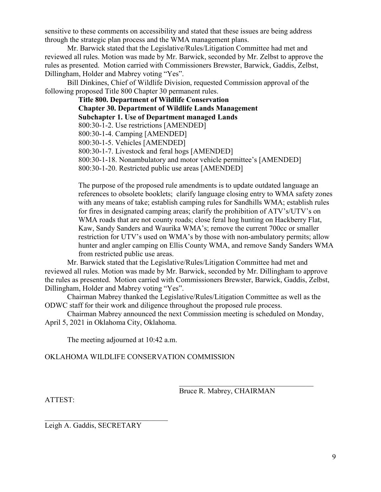sensitive to these comments on accessibility and stated that these issues are being address through the strategic plan process and the WMA management plans.

Mr. Barwick stated that the Legislative/Rules/Litigation Committee had met and reviewed all rules. Motion was made by Mr. Barwick, seconded by Mr. Zelbst to approve the rules as presented. Motion carried with Commissioners Brewster, Barwick, Gaddis, Zelbst, Dillingham, Holder and Mabrey voting "Yes".

Bill Dinkines, Chief of Wildlife Division, requested Commission approval of the following proposed Title 800 Chapter 30 permanent rules.

> **Title 800. Department of Wildlife Conservation Chapter 30. Department of Wildlife Lands Management Subchapter 1. Use of Department managed Lands** 800:30-1-2. Use restrictions [AMENDED] 800:30-1-4. Camping [AMENDED] 800:30-1-5. Vehicles [AMENDED] 800:30-1-7. Livestock and feral hogs [AMENDED] 800:30-1-18. Nonambulatory and motor vehicle permittee's [AMENDED] 800:30-1-20. Restricted public use areas [AMENDED]

The purpose of the proposed rule amendments is to update outdated language an references to obsolete booklets; clarify language closing entry to WMA safety zones with any means of take; establish camping rules for Sandhills WMA; establish rules for fires in designated camping areas; clarify the prohibition of ATV's/UTV's on WMA roads that are not county roads; close feral hog hunting on Hackberry Flat, Kaw, Sandy Sanders and Waurika WMA's; remove the current 700cc or smaller restriction for UTV's used on WMA's by those with non-ambulatory permits; allow hunter and angler camping on Ellis County WMA, and remove Sandy Sanders WMA from restricted public use areas.

Mr. Barwick stated that the Legislative/Rules/Litigation Committee had met and reviewed all rules. Motion was made by Mr. Barwick, seconded by Mr. Dillingham to approve the rules as presented. Motion carried with Commissioners Brewster, Barwick, Gaddis, Zelbst, Dillingham, Holder and Mabrey voting "Yes".

Chairman Mabrey thanked the Legislative/Rules/Litigation Committee as well as the ODWC staff for their work and diligence throughout the proposed rule process.

Chairman Mabrey announced the next Commission meeting is scheduled on Monday, April 5, 2021 in Oklahoma City, Oklahoma.

The meeting adjourned at 10:42 a.m.

OKLAHOMA WILDLIFE CONSERVATION COMMISSION

Bruce R. Mabrey, CHAIRMAN

 $\mathcal{L}_\mathcal{L}$  , which is a set of the set of the set of the set of the set of the set of the set of the set of the set of the set of the set of the set of the set of the set of the set of the set of the set of the set of

ATTEST:

 $\mathcal{L}_\mathcal{L}$  , where  $\mathcal{L}_\mathcal{L}$  , we are the set of the set of the set of the set of the set of the set of the set of the set of the set of the set of the set of the set of the set of the set of the set of the set o Leigh A. Gaddis, SECRETARY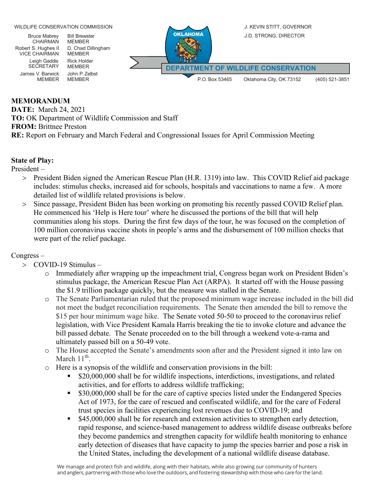

### **MEMORANDUM**

**DATE:** March 24, 2021 **TO:** OK Department of Wildlife Commission and Staff **FROM:** Brittnee Preston **RE:** Report on February and March Federal and Congressional Issues for April Commission Meeting

### **State of Play:**

President –

- > President Biden signed the American Rescue Plan (H.R. 1319) into law. This COVID Relief aid package includes: stimulus checks, increased aid for schools, hospitals and vaccinations to name a few. A more detailed list of wildlife related provisions is below.
- > Since passage, President Biden has been working on promoting his recently passed COVID Relief plan. He commenced his 'Help is Here tour' where he discussed the portions of the bill that will help communities along his stops. During the first few days of the tour, he was focused on the completion of 100 million coronavirus vaccine shots in people's arms and the disbursement of 100 million checks that were part of the relief package.

## Congress –

- > COVID-19 Stimulus
	- o Immediately after wrapping up the impeachment trial, Congress began work on President Biden's stimulus package, the American Rescue Plan Act (ARPA). It started off with the House passing the \$1.9 trillion package quickly, but the measure was stalled in the Senate.
	- o The Senate Parliamentarian ruled that the proposed minimum wage increase included in the bill did not meet the budget reconciliation requirements. The Senate then amended the bill to remove the \$15 per hour minimum wage hike. The Senate voted 50-50 to proceed to the coronavirus relief legislation, with Vice President Kamala Harris breaking the tie to invoke cloture and advance the bill passed debate. The Senate proceeded on to the bill through a weekend vote-a-rama and ultimately passed bill on a 50-49 vote.
	- o The House accepted the Senate's amendments soon after and the President signed it into law on March  $11<sup>th</sup>$ .
	- o Here is a synopsis of the wildlife and conservation provisions in the bill:
		- \$20,000,000 shall be for wildlife inspections, interdictions, investigations, and related activities, and for efforts to address wildlife trafficking;
		- **S30,000,000 shall be for the care of captive species listed under the Endangered Species** Act of 1973, for the care of rescued and confiscated wildlife, and for the care of Federal trust species in facilities experiencing lost revenues due to COVID-19; and
		- **\$45,000,000 shall be for research and extension activities to strengthen early detection,** rapid response, and science-based management to address wildlife disease outbreaks before they become pandemics and strengthen capacity for wildlife health monitoring to enhance early detection of diseases that have capacity to jump the species barrier and pose a risk in the United States, including the development of a national wildlife disease database.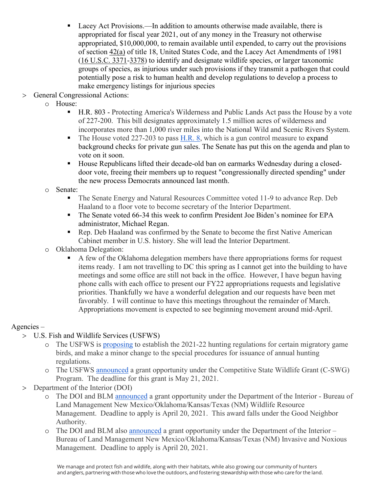- Lacey Act Provisions.—In addition to amounts otherwise made available, there is appropriated for fiscal year 2021, out of any money in the Treasury not otherwise appropriated, \$10,000,000, to remain available until expended, to carry out the provisions of section [42\(a\)](https://plus.cq.com/uscode/18/42) of title 18, United States Code, and the Lacey Act Amendments of 1981 [\(16 U.S.C. 3371-](https://plus.cq.com/uscode/16/3371)[3378\)](https://plus.cq.com/uscode/16/3378) to identify and designate wildlife species, or larger taxonomic groups of species, as injurious under such provisions if they transmit a pathogen that could potentially pose a risk to human health and develop regulations to develop a process to make emergency listings for injurious species
- > General Congressional Actions:
	- o House:
		- H.R. 803 Protecting America's Wilderness and Public Lands Act pass the House by a vote of 227-200. This bill designates approximately 1.5 million acres of wilderness and incorporates more than 1,000 river miles into the National Wild and Scenic Rivers System.
		- The House voted 227-203 to pass [H.R.](https://www.congress.gov/117/bills/hr8/BILLS-117hr8eh.pdf) 8, which is a gun control measure to expand background checks for private gun sales. The Senate has put this on the agenda and plan to vote on it soon.
		- House Republicans lifted their decade-old ban on earmarks Wednesday during a closeddoor vote, freeing their members up to request "congressionally directed spending" under the new process Democrats announced last month.

## o Senate:

- The Senate Energy and Natural Resources Committee voted 11-9 to advance Rep. Deb Haaland to a floor vote to become secretary of the Interior Department.
- The Senate voted 66-34 this week to confirm President Joe Biden's nominee for EPA administrator, Michael Regan.
- Rep. Deb Haaland was confirmed by the Senate to become the first Native American Cabinet member in U.S. history. She will lead the Interior Department.
- o Oklahoma Delegation:
	- A few of the Oklahoma delegation members have there appropriations forms for request items ready. I am not travelling to DC this spring as I cannot get into the building to have meetings and some office are still not back in the office. However, I have begun having phone calls with each office to present our FY22 appropriations requests and legislative priorities. Thankfully we have a wonderful delegation and our requests have been met favorably. I will continue to have this meetings throughout the remainder of March. Appropriations movement is expected to see beginning movement around mid-April.

# Agencies –

- > U.S. Fish and Wildlife Services (USFWS)
	- o The USFWS is [proposing](https://www.federalregister.gov/documents/2021/02/22/2021-02964/migratory-bird-hunting-proposed-2021-22-frameworks-and-special-procedures-for-issuance-of-annual?utm_campaign=subscription%20mailing%20list&utm_source=federalregister.gov&utm_medium=email) to establish the 2021-22 hunting regulations for certain migratory game birds, and make a minor change to the special procedures for issuance of annual hunting regulations.
	- o The USFWS [announced](https://www.grants.gov/web/grants/view-opportunity.html?oppId=331717) a grant opportunity under the Competitive State Wildlife Grant (C-SWG) Program. The deadline for this grant is May 21, 2021.
- > Department of the Interior (DOI)
	- o The DOI and BLM [announced](https://www.grants.gov/web/grants/view-opportunity.html?oppId=331624) a grant opportunity under the Department of the Interior Bureau of Land Management New Mexico/Oklahoma/Kansas/Texas (NM) Wildlife Resource Management. Deadline to apply is April 20, 2021. This award falls under the Good Neighbor Authority.
	- o The DOI and BLM also [announced](https://www.grants.gov/web/grants/view-opportunity.html?oppId=331639) a grant opportunity under the Department of the Interior Bureau of Land Management New Mexico/Oklahoma/Kansas/Texas (NM) Invasive and Noxious Management. Deadline to apply is April 20, 2021.